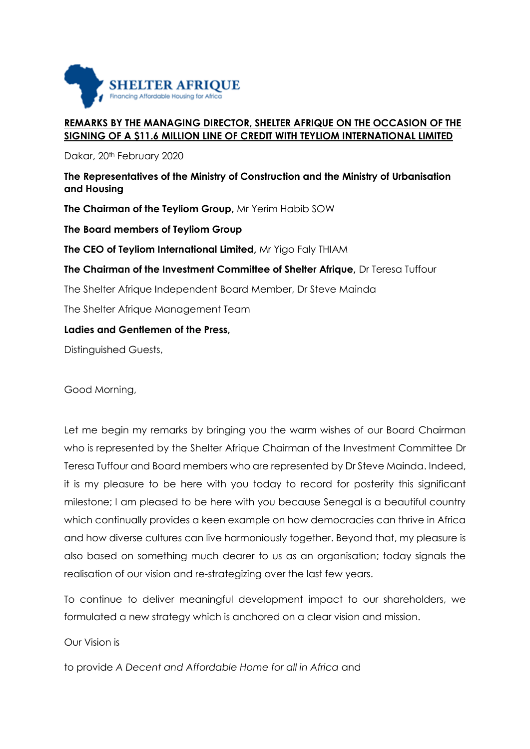

## **REMARKS BY THE MANAGING DIRECTOR, SHELTER AFRIQUE ON THE OCCASION OF THE SIGNING OF A \$11.6 MILLION LINE OF CREDIT WITH TEYLIOM INTERNATIONAL LIMITED**

Dakar, 20<sup>th</sup> February 2020

## **The Representatives of the Ministry of Construction and the Ministry of Urbanisation and Housing**

**The Chairman of the Teyliom Group,** Mr Yerim Habib SOW

**The Board members of Teyliom Group**

**The CEO of Teyliom International Limited,** Mr Yigo Faly THIAM

**The Chairman of the Investment Committee of Shelter Afrique,** Dr Teresa Tuffour

The Shelter Afrique Independent Board Member, Dr Steve Mainda

The Shelter Afrique Management Team

## **Ladies and Gentlemen of the Press,**

Distinguished Guests,

Good Morning,

Let me begin my remarks by bringing you the warm wishes of our Board Chairman who is represented by the Shelter Afrique Chairman of the Investment Committee Dr Teresa Tuffour and Board members who are represented by Dr Steve Mainda. Indeed, it is my pleasure to be here with you today to record for posterity this significant milestone; I am pleased to be here with you because Senegal is a beautiful country which continually provides a keen example on how democracies can thrive in Africa and how diverse cultures can live harmoniously together. Beyond that, my pleasure is also based on something much dearer to us as an organisation; today signals the realisation of our vision and re-strategizing over the last few years.

To continue to deliver meaningful development impact to our shareholders, we formulated a new strategy which is anchored on a clear vision and mission.

Our Vision is

to provide *A Decent and Affordable Home for all in Africa* and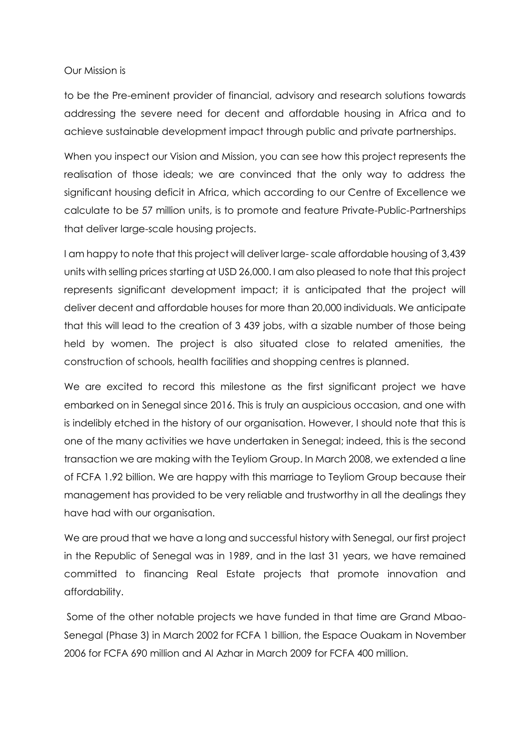## Our Mission is

to be the Pre-eminent provider of financial, advisory and research solutions towards addressing the severe need for decent and affordable housing in Africa and to achieve sustainable development impact through public and private partnerships.

When you inspect our Vision and Mission, you can see how this project represents the realisation of those ideals; we are convinced that the only way to address the significant housing deficit in Africa, which according to our Centre of Excellence we calculate to be 57 million units, is to promote and feature Private-Public-Partnerships that deliver large-scale housing projects.

I am happy to note that this project will deliver large- scale affordable housing of 3,439 units with selling prices starting at USD 26,000. I am also pleased to note that this project represents significant development impact; it is anticipated that the project will deliver decent and affordable houses for more than 20,000 individuals. We anticipate that this will lead to the creation of 3 439 jobs, with a sizable number of those being held by women. The project is also situated close to related amenities, the construction of schools, health facilities and shopping centres is planned.

We are excited to record this milestone as the first significant project we have embarked on in Senegal since 2016. This is truly an auspicious occasion, and one with is indelibly etched in the history of our organisation. However, I should note that this is one of the many activities we have undertaken in Senegal; indeed, this is the second transaction we are making with the Teyliom Group. In March 2008, we extended a line of FCFA 1.92 billion. We are happy with this marriage to Teyliom Group because their management has provided to be very reliable and trustworthy in all the dealings they have had with our organisation.

We are proud that we have a long and successful history with Senegal, our first project in the Republic of Senegal was in 1989, and in the last 31 years, we have remained committed to financing Real Estate projects that promote innovation and affordability.

Some of the other notable projects we have funded in that time are Grand Mbao-Senegal (Phase 3) in March 2002 for FCFA 1 billion, the Espace Ouakam in November 2006 for FCFA 690 million and Al Azhar in March 2009 for FCFA 400 million.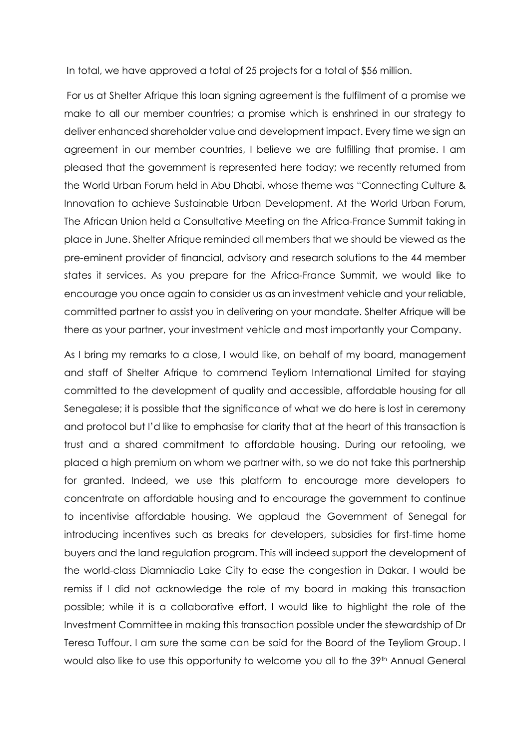In total, we have approved a total of 25 projects for a total of \$56 million.

For us at Shelter Afrique this loan signing agreement is the fulfilment of a promise we make to all our member countries; a promise which is enshrined in our strategy to deliver enhanced shareholder value and development impact. Every time we sign an agreement in our member countries, I believe we are fulfilling that promise. I am pleased that the government is represented here today; we recently returned from the World Urban Forum held in Abu Dhabi, whose theme was "Connecting Culture & Innovation to achieve Sustainable Urban Development. At the World Urban Forum, The African Union held a Consultative Meeting on the Africa-France Summit taking in place in June. Shelter Afrique reminded all members that we should be viewed as the pre-eminent provider of financial, advisory and research solutions to the 44 member states it services. As you prepare for the Africa-France Summit, we would like to encourage you once again to consider us as an investment vehicle and your reliable, committed partner to assist you in delivering on your mandate. Shelter Afrique will be there as your partner, your investment vehicle and most importantly your Company.

As I bring my remarks to a close, I would like, on behalf of my board, management and staff of Shelter Afrique to commend Teyliom International Limited for staying committed to the development of quality and accessible, affordable housing for all Senegalese; it is possible that the significance of what we do here is lost in ceremony and protocol but I'd like to emphasise for clarity that at the heart of this transaction is trust and a shared commitment to affordable housing. During our retooling, we placed a high premium on whom we partner with, so we do not take this partnership for granted. Indeed, we use this platform to encourage more developers to concentrate on affordable housing and to encourage the government to continue to incentivise affordable housing. We applaud the Government of Senegal for introducing incentives such as breaks for developers, subsidies for first-time home buyers and the land regulation program. This will indeed support the development of the world-class Diamniadio Lake City to ease the congestion in Dakar. I would be remiss if I did not acknowledge the role of my board in making this transaction possible; while it is a collaborative effort, I would like to highlight the role of the Investment Committee in making this transaction possible under the stewardship of Dr Teresa Tuffour. I am sure the same can be said for the Board of the Teyliom Group. I would also like to use this opportunity to welcome you all to the 39<sup>th</sup> Annual General